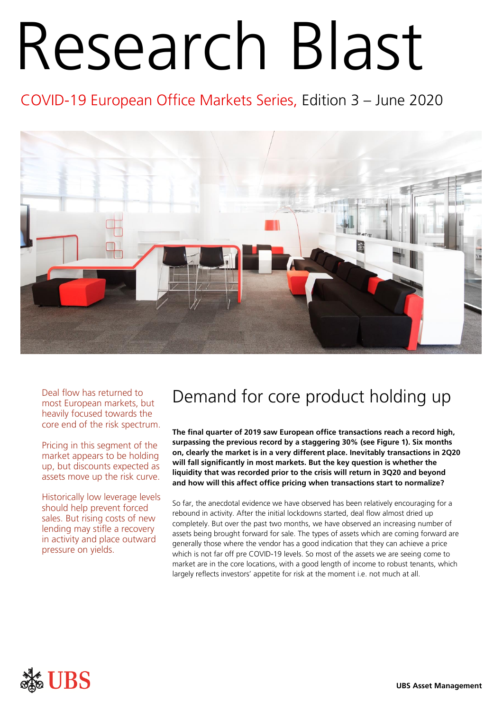# Research Blast

COVID-19 European Office Markets Series, Edition 3 – June 2020



Deal flow has returned to most European markets, but heavily focused towards the core end of the risk spectrum.

Pricing in this segment of the market appears to be holding up, but discounts expected as assets move up the risk curve.

Historically low leverage levels should help prevent forced sales. But rising costs of new lending may stifle a recovery in activity and place outward pressure on yields.

# Demand for core product holding up

**The final quarter of 2019 saw European office transactions reach a record high, surpassing the previous record by a staggering 30% (see Figure 1). Six months on, clearly the market is in a very different place. Inevitably transactions in 2Q20 will fall significantly in most markets. But the key question is whether the liquidity that was recorded prior to the crisis will return in 3Q20 and beyond and how will this affect office pricing when transactions start to normalize?**

So far, the anecdotal evidence we have observed has been relatively encouraging for a rebound in activity. After the initial lockdowns started, deal flow almost dried up completely. But over the past two months, we have observed an increasing number of assets being brought forward for sale. The types of assets which are coming forward are generally those where the vendor has a good indication that they can achieve a price which is not far off pre COVID-19 levels. So most of the assets we are seeing come to market are in the core locations, with a good length of income to robust tenants, which largely reflects investors' appetite for risk at the moment i.e. not much at all.

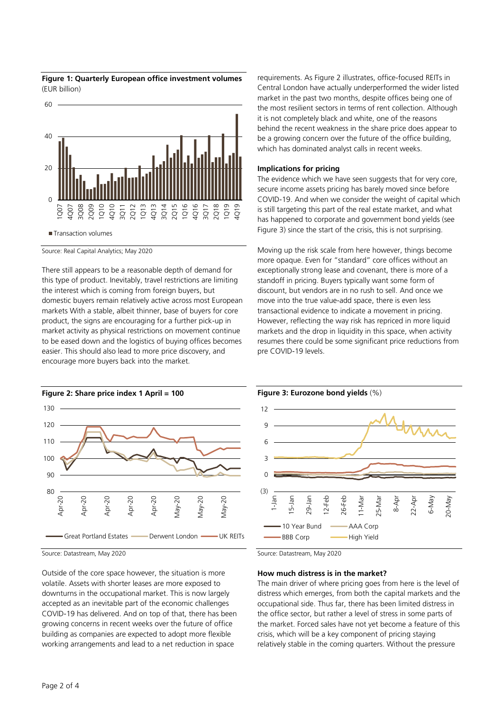



Source: Real Capital Analytics; May 2020

There still appears to be a reasonable depth of demand for this type of product. Inevitably, travel restrictions are limiting the interest which is coming from foreign buyers, but domestic buyers remain relatively active across most European markets With a stable, albeit thinner, base of buyers for core product, the signs are encouraging for a further pick-up in market activity as physical restrictions on movement continue to be eased down and the logistics of buying offices becomes easier. This should also lead to more price discovery, and encourage more buyers back into the market.



Source: Datastream, May 2020

Outside of the core space however, the situation is more volatile. Assets with shorter leases are more exposed to downturns in the occupational market. This is now largely accepted as an inevitable part of the economic challenges COVID-19 has delivered. And on top of that, there has been growing concerns in recent weeks over the future of office building as companies are expected to adopt more flexible working arrangements and lead to a net reduction in space

requirements. As Figure 2 illustrates, office-focused REITs in Central London have actually underperformed the wider listed market in the past two months, despite offices being one of the most resilient sectors in terms of rent collection. Although it is not completely black and white, one of the reasons behind the recent weakness in the share price does appear to be a growing concern over the future of the office building, which has dominated analyst calls in recent weeks.

# **Implications for pricing**

The evidence which we have seen suggests that for very core, secure income assets pricing has barely moved since before COVID-19. And when we consider the weight of capital which is still targeting this part of the real estate market, and what has happened to corporate and government bond yields (see Figure 3) since the start of the crisis, this is not surprising.

Moving up the risk scale from here however, things become more opaque. Even for "standard" core offices without an exceptionally strong lease and covenant, there is more of a standoff in pricing. Buyers typically want some form of discount, but vendors are in no rush to sell. And once we move into the true value-add space, there is even less transactional evidence to indicate a movement in pricing. However, reflecting the way risk has repriced in more liquid markets and the drop in liquidity in this space, when activity resumes there could be some significant price reductions from pre COVID-19 levels.



Source: Datastream, May 2020

#### **How much distress is in the market?**

The main driver of where pricing goes from here is the level of distress which emerges, from both the capital markets and the occupational side. Thus far, there has been limited distress in the office sector, but rather a level of stress in some parts of the market. Forced sales have not yet become a feature of this crisis, which will be a key component of pricing staying relatively stable in the coming quarters. Without the pressure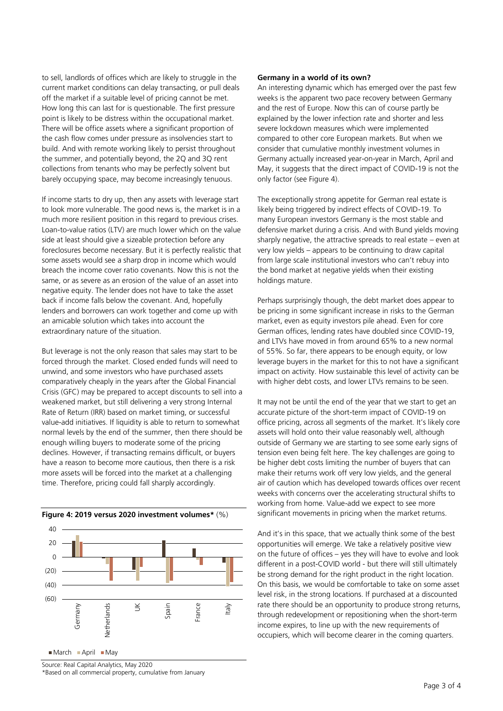to sell, landlords of offices which are likely to struggle in the current market conditions can delay transacting, or pull deals off the market if a suitable level of pricing cannot be met. How long this can last for is questionable. The first pressure point is likely to be distress within the occupational market. There will be office assets where a significant proportion of the cash flow comes under pressure as insolvencies start to build. And with remote working likely to persist throughout the summer, and potentially beyond, the 2Q and 3Q rent collections from tenants who may be perfectly solvent but barely occupying space, may become increasingly tenuous.

If income starts to dry up, then any assets with leverage start to look more vulnerable. The good news is, the market is in a much more resilient position in this regard to previous crises. Loan-to-value ratios (LTV) are much lower which on the value side at least should give a sizeable protection before any foreclosures become necessary. But it is perfectly realistic that some assets would see a sharp drop in income which would breach the income cover ratio covenants. Now this is not the same, or as severe as an erosion of the value of an asset into negative equity. The lender does not have to take the asset back if income falls below the covenant. And, hopefully lenders and borrowers can work together and come up with an amicable solution which takes into account the extraordinary nature of the situation.

But leverage is not the only reason that sales may start to be forced through the market. Closed ended funds will need to unwind, and some investors who have purchased assets comparatively cheaply in the years after the Global Financial Crisis (GFC) may be prepared to accept discounts to sell into a weakened market, but still delivering a very strong Internal Rate of Return (IRR) based on market timing, or successful value-add initiatives. If liquidity is able to return to somewhat normal levels by the end of the summer, then there should be enough willing buyers to moderate some of the pricing declines. However, if transacting remains difficult, or buyers have a reason to become more cautious, then there is a risk more assets will be forced into the market at a challenging time. Therefore, pricing could fall sharply accordingly.



 $March$  April May

Source: Real Capital Analytics, May 2020 \*Based on all commercial property, cumulative from January

# **Germany in a world of its own?**

An interesting dynamic which has emerged over the past few weeks is the apparent two pace recovery between Germany and the rest of Europe. Now this can of course partly be explained by the lower infection rate and shorter and less severe lockdown measures which were implemented compared to other core European markets. But when we consider that cumulative monthly investment volumes in Germany actually increased year-on-year in March, April and May, it suggests that the direct impact of COVID-19 is not the only factor (see Figure 4).

The exceptionally strong appetite for German real estate is likely being triggered by indirect effects of COVID-19. To many European investors Germany is the most stable and defensive market during a crisis. And with Bund yields moving sharply negative, the attractive spreads to real estate – even at very low yields – appears to be continuing to draw capital from large scale institutional investors who can't rebuy into the bond market at negative yields when their existing holdings mature.

Perhaps surprisingly though, the debt market does appear to be pricing in some significant increase in risks to the German market, even as equity investors pile ahead. Even for core German offices, lending rates have doubled since COVID-19, and LTVs have moved in from around 65% to a new normal of 55%. So far, there appears to be enough equity, or low leverage buyers in the market for this to not have a significant impact on activity. How sustainable this level of activity can be with higher debt costs, and lower LTVs remains to be seen.

It may not be until the end of the year that we start to get an accurate picture of the short-term impact of COVID-19 on office pricing, across all segments of the market. It's likely core assets will hold onto their value reasonably well, although outside of Germany we are starting to see some early signs of tension even being felt here. The key challenges are going to be higher debt costs limiting the number of buyers that can make their returns work off very low yields, and the general air of caution which has developed towards offices over recent weeks with concerns over the accelerating structural shifts to working from home. Value-add we expect to see more significant movements in pricing when the market returns.

And it's in this space, that we actually think some of the best opportunities will emerge. We take a relatively positive view on the future of offices – yes they will have to evolve and look different in a post-COVID world - but there will still ultimately be strong demand for the right product in the right location. On this basis, we would be comfortable to take on some asset level risk, in the strong locations. If purchased at a discounted rate there should be an opportunity to produce strong returns, through redevelopment or repositioning when the short-term income expires, to line up with the new requirements of occupiers, which will become clearer in the coming quarters.